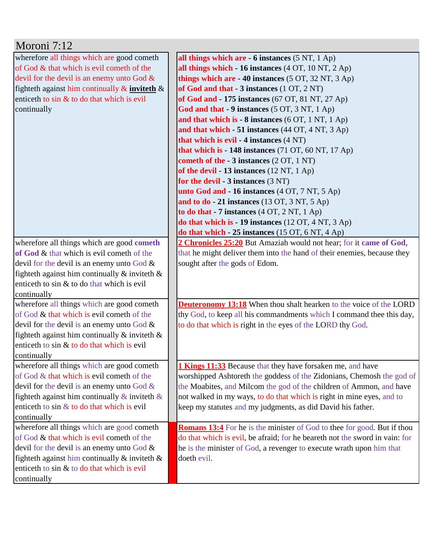| Moroni 7:12                                         |                                                                                |
|-----------------------------------------------------|--------------------------------------------------------------------------------|
| wherefore all things which are good cometh          | all things which are - 6 instances (5 NT, 1 Ap)                                |
| of God & that which is evil cometh of the           | all things which - 16 instances (4 OT, 10 NT, 2 Ap)                            |
| devil for the devil is an enemy unto God $\&$       | things which are $-40$ instances (5 OT, 32 NT, 3 Ap)                           |
| fighteth against him continually $\&$ inviteth $\&$ | of God and that - 3 instances (1 OT, 2 NT)                                     |
| enticeth to sin & to do that which is evil          | of God and - 175 instances (67 OT, 81 NT, 27 Ap)                               |
| continually                                         | God and that - 9 instances (5 OT, 3 NT, 1 Ap)                                  |
|                                                     | and that which is $-8$ instances (6 OT, 1 NT, 1 Ap)                            |
|                                                     | and that which $-51$ instances (44 OT, 4 NT, 3 Ap)                             |
|                                                     | that which is evil - 4 instances (4 NT)                                        |
|                                                     | that which is - 148 instances (71 OT, 60 NT, 17 Ap)                            |
|                                                     | cometh of the - 3 instances (2 OT, 1 NT)                                       |
|                                                     | of the devil $-13$ instances (12 NT, 1 Ap)                                     |
|                                                     | for the devil - $3$ instances $(3 \text{ NT})$                                 |
|                                                     | unto God and - 16 instances (4 OT, 7 NT, 5 Ap)                                 |
|                                                     | and to $do - 21$ instances (13 OT, 3 NT, 5 Ap)                                 |
|                                                     | to do that $-7$ instances $(4 OT, 2 NT, 1 Ap)$                                 |
|                                                     | do that which is - 19 instances $(12 OT, 4 NT, 3 Ap)$                          |
|                                                     | do that which - 25 instances (15 OT, 6 NT, 4 Ap)                               |
| wherefore all things which are good cometh          | 2 Chronicles 25:20 But Amaziah would not hear; for it came of God,             |
| of God & that which is evil cometh of the           | that he might deliver them into the hand of their enemies, because they        |
| devil for the devil is an enemy unto God $\&$       | sought after the gods of Edom.                                                 |
| fighteth against him continually $\&$ inviteth $\&$ |                                                                                |
| enticeth to sin & to do that which is evil          |                                                                                |
| continually                                         |                                                                                |
| wherefore all things which are good cometh          | <b>Deuteronomy 13:18</b> When thou shalt hearken to the voice of the LORD      |
| of God & that which is evil cometh of the           | thy God, to keep all his commandments which I command thee this day,           |
| devil for the devil is an enemy unto God $\&$       | to do that which is right in the eyes of the LORD thy God.                     |
| fighteth against him continually $\&$ inviteth $\&$ |                                                                                |
| enticeth to sin & to do that which is evil          |                                                                                |
| continually                                         |                                                                                |
| wherefore all things which are good cometh          | <b>1 Kings 11:33</b> Because that they have forsaken me, and have              |
| of God & that which is evil cometh of the           | worshipped Ashtoreth the goddess of the Zidonians, Chemosh the god of          |
| devil for the devil is an enemy unto God $\&$       | the Moabites, and Milcom the god of the children of Ammon, and have            |
| fighteth against him continually $\&$ inviteth $\&$ | not walked in my ways, to do that which is right in mine eyes, and to          |
| enticeth to sin & to do that which is evil          | keep my statutes and my judgments, as did David his father.                    |
| continually                                         |                                                                                |
| wherefore all things which are good cometh          | <b>Romans 13:4</b> For he is the minister of God to thee for good. But if thou |
| of God & that which is evil cometh of the           | do that which is evil, be afraid; for he beareth not the sword in vain: for    |
| devil for the devil is an enemy unto God $\&$       | he is the minister of God, a revenger to execute wrath upon him that           |
| fighteth against him continually $\&$ inviteth $\&$ | doeth evil.                                                                    |
| enticeth to sin & to do that which is evil          |                                                                                |
| continually                                         |                                                                                |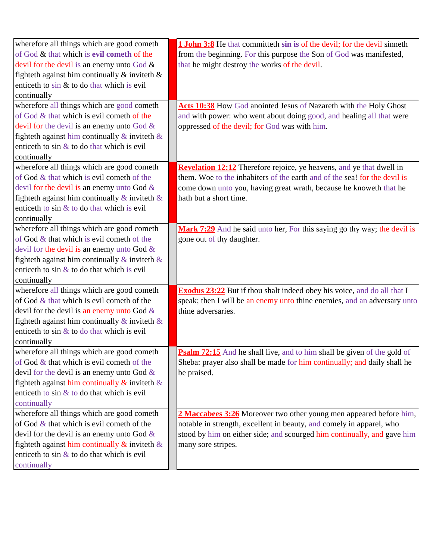| wherefore all things which are good cometh            | 1 John 3:8 He that committeth sin is of the devil; for the devil sinneth       |
|-------------------------------------------------------|--------------------------------------------------------------------------------|
| of God & that which is evil cometh of the             | from the beginning. For this purpose the Son of God was manifested,            |
| devil for the devil is an enemy unto God $\&$         | that he might destroy the works of the devil.                                  |
| fighteth against him continually $\&$ inviteth $\&$   |                                                                                |
| enticeth to $\sin \&$ to do that which is evil        |                                                                                |
| continually                                           |                                                                                |
| wherefore all things which are good cometh            | Acts 10:38 How God anointed Jesus of Nazareth with the Holy Ghost              |
| of God & that which is evil cometh of the             | and with power: who went about doing good, and healing all that were           |
| devil for the devil is an enemy unto God $\&$         | oppressed of the devil; for God was with him.                                  |
| fighteth against him continually $\&$ inviteth $\&$   |                                                                                |
| enticeth to sin $\&$ to do that which is evil         |                                                                                |
| continually                                           |                                                                                |
| wherefore all things which are good cometh            | <b>Revelation 12:12</b> Therefore rejoice, ye heavens, and ye that dwell in    |
| of God & that which is evil cometh of the             | them. Woe to the inhabiters of the earth and of the sea! for the devil is      |
| devil for the devil is an enemy unto God &            | come down unto you, having great wrath, because he knoweth that he             |
| fighteth against him continually $\&$ inviteth $\&$   | hath but a short time.                                                         |
| enticeth to sin & to do that which is evil            |                                                                                |
| continually                                           |                                                                                |
| wherefore all things which are good cometh            | Mark 7:29 And he said unto her, For this saying go thy way; the devil is       |
| of God $&$ that which is evil cometh of the           | gone out of thy daughter.                                                      |
| devil for the devil is an enemy unto God $\&$         |                                                                                |
| fighteth against him continually $\&$ inviteth $\&$   |                                                                                |
| enticeth to sin $\&$ to do that which is evil         |                                                                                |
| continually                                           |                                                                                |
| wherefore all things which are good cometh            | <b>Exodus 23:22</b> But if thou shalt indeed obey his voice, and do all that I |
| of God & that which is evil cometh of the             | speak; then I will be an enemy unto thine enemies, and an adversary unto       |
| devil for the devil is an enemy unto God $\&$         | thine adversaries.                                                             |
| fighteth against him continually $\&$ inviteth $\&$   |                                                                                |
| enticeth to sin $\&$ to do that which is evil         |                                                                                |
| continually                                           |                                                                                |
| wherefore all things which are good cometh            | <b>Psalm 72:15</b> And he shall live, and to him shall be given of the gold of |
| of God $\&$ that which is evil cometh of the          | Sheba: prayer also shall be made for him continually; and daily shall he       |
| devil for the devil is an enemy unto God $\&$         | be praised.                                                                    |
| fighteth against him continually $\&$ inviteth $\&$   |                                                                                |
| enticeth to $\sin \& \text{to}$ do that which is evil |                                                                                |
| continually                                           |                                                                                |
| wherefore all things which are good cometh            | 2 Maccabees 3:26 Moreover two other young men appeared before him,             |
| of God $\&$ that which is evil cometh of the          | notable in strength, excellent in beauty, and comely in apparel, who           |
| devil for the devil is an enemy unto God $\&$         | stood by him on either side; and scourged him continually, and gave him        |
| fighteth against him continually $\&$ inviteth $\&$   | many sore stripes.                                                             |
| enticeth to $\sin \&$ to do that which is evil        |                                                                                |
| continually                                           |                                                                                |